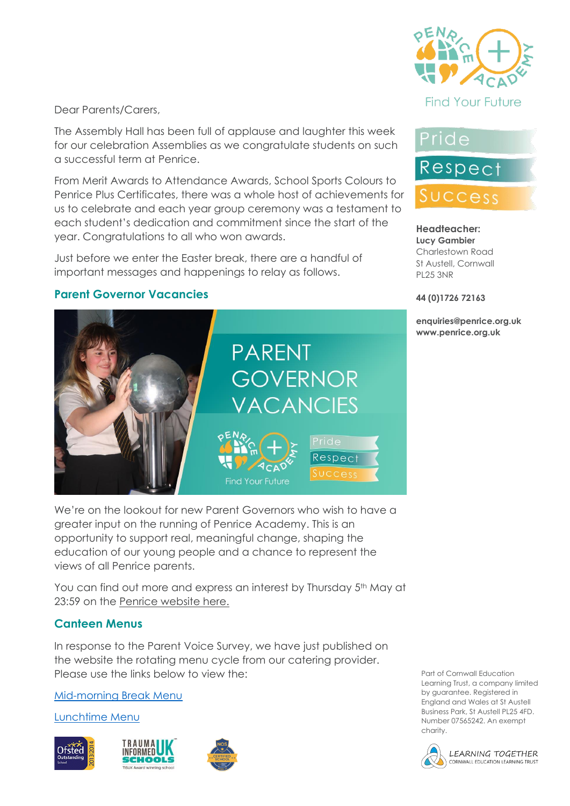

#### Dear Parents/Carers,

The Assembly Hall has been full of applause and laughter this week for our celebration Assemblies as we congratulate students on such a successful term at Penrice.

From Merit Awards to Attendance Awards, School Sports Colours to Penrice Plus Certificates, there was a whole host of achievements for us to celebrate and each year group ceremony was a testament to each student's dedication and commitment since the start of the year. Congratulations to all who won awards.

Just before we enter the Easter break, there are a handful of important messages and happenings to relay as follows.

#### **Parent Governor Vacancies**



We're on the lookout for new Parent Governors who wish to have a greater input on the running of Penrice Academy. This is an opportunity to support real, meaningful change, shaping the education of our young people and a chance to represent the views of all Penrice parents.

You can find out more and express an interest by Thursday 5<sup>th</sup> May at 23:59 on the [Penrice website here.](https://www.penriceacademy.org/vacancies/parent-governors/)

#### **Canteen Menus**

In response to the Parent Voice Survey, we have just published on the website the rotating menu cycle from our catering provider. Please use the links below to view the:

[Mid-morning Break Menu](https://www.penriceacademy.org/wp-content/uploads/2022/04/Mid-Morning-Break-Menu.pdf)

[Lunchtime Menu](https://www.penriceacademy.org/wp-content/uploads/2022/04/Lunch-Menu.pdf)







Pride

Respect

# Success

#### **Headteacher: Lucy Gambier** Charlestown Road St Austell, Cornwall

#### **44 (0)1726 72163**

PL25 3NR

**enquiries@penrice.org.uk www.penrice.org.uk**

Part of Cornwall Education Learning Trust, a company limited by guarantee. Registered in England and Wales at St Austell Business Park, St Austell PL25 4FD. Number 07565242. An exempt charity.

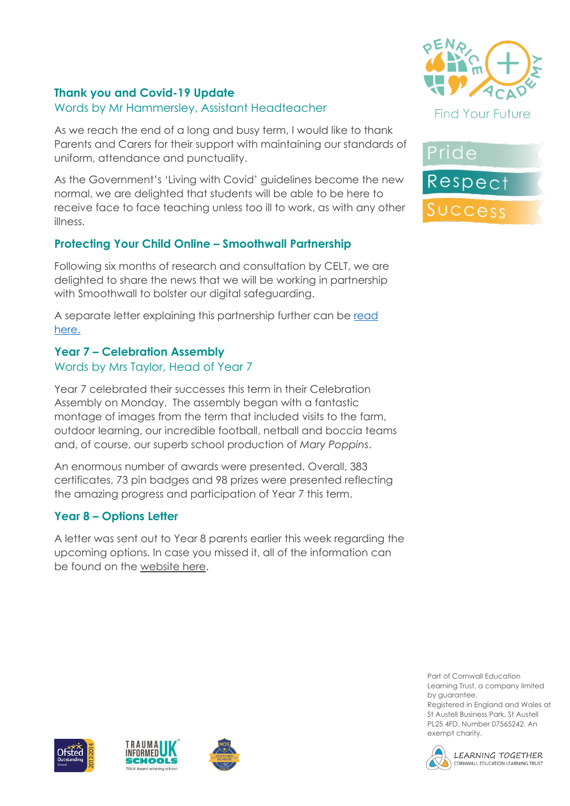## **Thank you and Covid-19 Update**

# Words by Mr Hammersley, Assistant Headteacher

As we reach the end of a long and busy term, I would like to thank Parents and Carers for their support with maintaining our standards of uniform, attendance and punctuality.

As the Government's 'Living with Covid' guidelines become the new normal, we are delighted that students will be able to be here to receive face to face teaching unless too ill to work, as with any other illness.

# **Protecting Your Child Online – Smoothwall Partnership**

Following six months of research and consultation by CELT, we are delighted to share the news that we will be working in partnership with Smoothwall to bolster our digital safeguarding.

A separate letter explaining this partnership further can be read [here.](https://www.penriceacademy.org/wp-content/uploads/2022/04/Smoothwall-CELT-Letter.pdf)

# **Year 7 – Celebration Assembly**

# Words by Mrs Taylor, Head of Year 7

Year 7 celebrated their successes this term in their Celebration Assembly on Monday. The assembly began with a fantastic montage of images from the term that included visits to the farm, outdoor learning, our incredible football, netball and boccia teams and, of course, our superb school production of *Mary Poppins*.

An enormous number of awards were presented. Overall, 383 certificates, 73 pin badges and 98 prizes were presented reflecting the amazing progress and participation of Year 7 this term.

# **Year 8 – Options Letter**

A letter was sent out to Year 8 parents earlier this week regarding the upcoming options. In case you missed it, all of the information can be found on the [website here.](https://www.penriceacademy.org/year-8-options/)





Part of Cornwall Education Learning Trust, a company limited by guarantee.







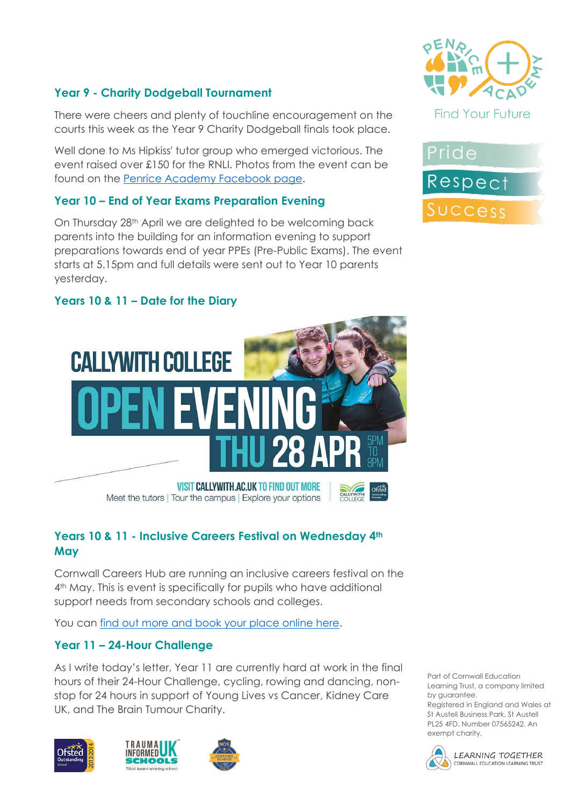# **Year 9 - Charity Dodgeball Tournament**

There were cheers and plenty of touchline encouragement on the courts this week as the Year 9 Charity Dodgeball finals took place.

Well done to Ms Hipkiss' tutor group who emerged victorious. The event raised over £150 for the RNLI. Photos from the event can be found on the [Penrice Academy Facebook page.](https://www.facebook.com/penriceacademy)

# **Year 10 – End of Year Exams Preparation Evening**

On Thursday 28<sup>th</sup> April we are delighted to be welcoming back parents into the building for an information evening to support preparations towards end of year PPEs (Pre-Public Exams). The event starts at 5.15pm and full details were sent out to Year 10 parents yesterday.





# **Years 10 & 11 – Date for the Diary**



Meet the tutors | Tour the campus | Explore your options

## **Years 10 & 11 - Inclusive Careers Festival on Wednesday 4th May**

Cornwall Careers Hub are running an inclusive careers festival on the 4<sup>th</sup> May. This is event is specifically for pupils who have additional support needs from secondary schools and colleges.

You can [find out more and book your place online here.](https://www.eventbrite.co.uk/e/my-skills-my-future-inclusive-careers-festival-tickets-291271600197)

## **Year 11 – 24-Hour Challenge**

As I write today's letter, Year 11 are currently hard at work in the final hours of their 24-Hour Challenge, cycling, rowing and dancing, nonstop for 24 hours in support of Young Lives vs Cancer, Kidney Care UK, and The Brain Tumour Charity.







Part of Cornwall Education Learning Trust, a company limited by guarantee.

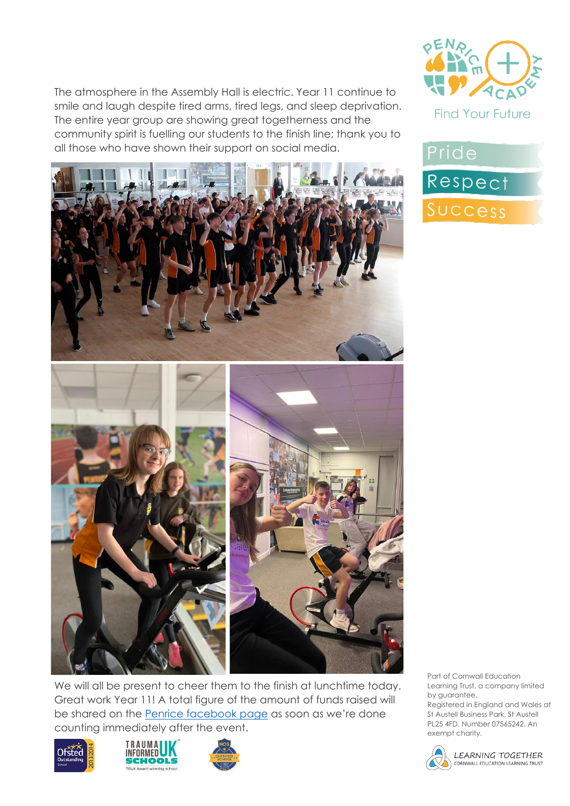The atmosphere in the Assembly Hall is electric. Year 11 continue to smile and laugh despite tired arms, tired legs, and sleep deprivation. The entire year group are showing great togetherness and the community spirit is fuelling our students to the finish line; thank you to all those who have shown their support on social media.







We will all be present to cheer them to the finish at lunchtime today. Great work Year 11! A total figure of the amount of funds raised will be shared on the [Penrice facebook page](https://www.facebook.com/penriceacademy) as soon as we're done counting immediately after the event.







Part of Cornwall Education Learning Trust, a company limited by guarantee.

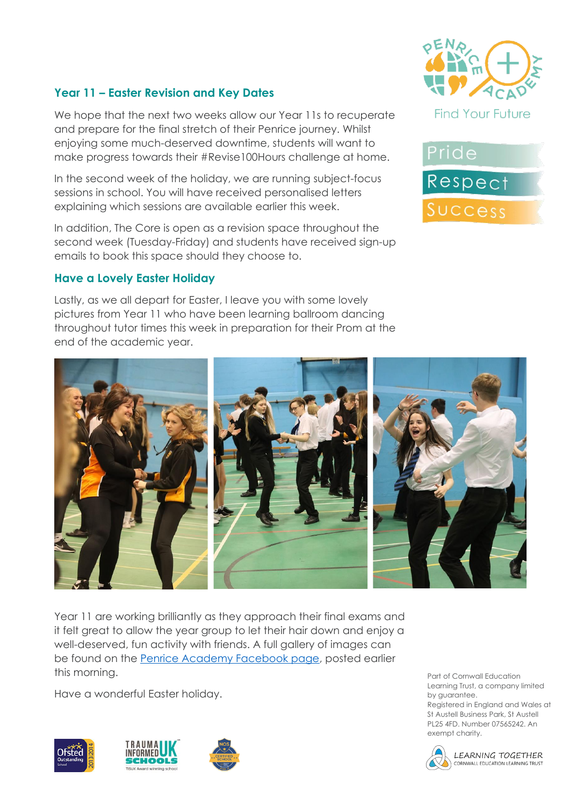# **Year 11 – Easter Revision and Key Dates**

We hope that the next two weeks allow our Year 11s to recuperate and prepare for the final stretch of their Penrice journey. Whilst enjoying some much-deserved downtime, students will want to make progress towards their #Revise100Hours challenge at home.

In the second week of the holiday, we are running subject-focus sessions in school. You will have received personalised letters explaining which sessions are available earlier this week.

In addition, The Core is open as a revision space throughout the second week (Tuesday-Friday) and students have received sign-up emails to book this space should they choose to.

#### **Have a Lovely Easter Holiday**

Lastly, as we all depart for Easter, I leave you with some lovely pictures from Year 11 who have been learning ballroom dancing throughout tutor times this week in preparation for their Prom at the end of the academic year.







Year 11 are working brilliantly as they approach their final exams and it felt great to allow the year group to let their hair down and enjoy a well-deserved, fun activity with friends. A full gallery of images can be found on the [Penrice Academy Facebook page,](https://www.facebook.com/penriceacademy) posted earlier this morning.

Have a wonderful Easter holiday.







Part of Cornwall Education Learning Trust, a company limited by guarantee.